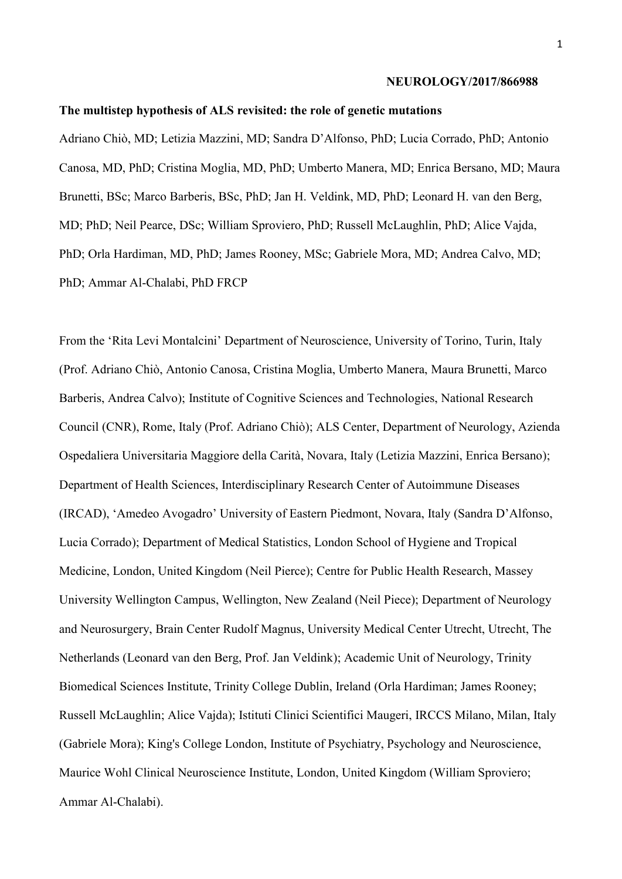#### **NEUROLOGY/2017/866988**

## **The multistep hypothesis of ALS revisited: the role of genetic mutations**

Adriano Chiò, MD; Letizia Mazzini, MD; Sandra D'Alfonso, PhD; Lucia Corrado, PhD; Antonio Canosa, MD, PhD; Cristina Moglia, MD, PhD; Umberto Manera, MD; Enrica Bersano, MD; Maura Brunetti, BSc; Marco Barberis, BSc, PhD; Jan H. Veldink, MD, PhD; Leonard H. van den Berg, MD; PhD; Neil Pearce, DSc; William Sproviero, PhD; Russell McLaughlin, PhD; Alice Vajda, PhD; Orla Hardiman, MD, PhD; James Rooney, MSc; Gabriele Mora, MD; Andrea Calvo, MD; PhD; Ammar Al-Chalabi, PhD FRCP

From the 'Rita Levi Montalcini' Department of Neuroscience, University of Torino, Turin, Italy (Prof. Adriano Chiò, Antonio Canosa, Cristina Moglia, Umberto Manera, Maura Brunetti, Marco Barberis, Andrea Calvo); Institute of Cognitive Sciences and Technologies, National Research Council (CNR), Rome, Italy (Prof. Adriano Chiò); ALS Center, Department of Neurology, Azienda Ospedaliera Universitaria Maggiore della Carità, Novara, Italy (Letizia Mazzini, Enrica Bersano); Department of Health Sciences, Interdisciplinary Research Center of Autoimmune Diseases (IRCAD), 'Amedeo Avogadro' University of Eastern Piedmont, Novara, Italy (Sandra D'Alfonso, Lucia Corrado); Department of Medical Statistics, London School of Hygiene and Tropical Medicine, London, United Kingdom (Neil Pierce); Centre for Public Health Research, Massey University Wellington Campus, Wellington, New Zealand (Neil Piece); Department of Neurology and Neurosurgery, Brain Center Rudolf Magnus, University Medical Center Utrecht, Utrecht, The Netherlands (Leonard van den Berg, Prof. Jan Veldink); Academic Unit of Neurology, Trinity Biomedical Sciences Institute, Trinity College Dublin, Ireland (Orla Hardiman; James Rooney; Russell McLaughlin; Alice Vajda); Istituti Clinici Scientifici Maugeri, IRCCS Milano, Milan, Italy (Gabriele Mora); King's College London, Institute of Psychiatry, Psychology and Neuroscience, Maurice Wohl Clinical Neuroscience Institute, London, United Kingdom (William Sproviero; Ammar Al-Chalabi).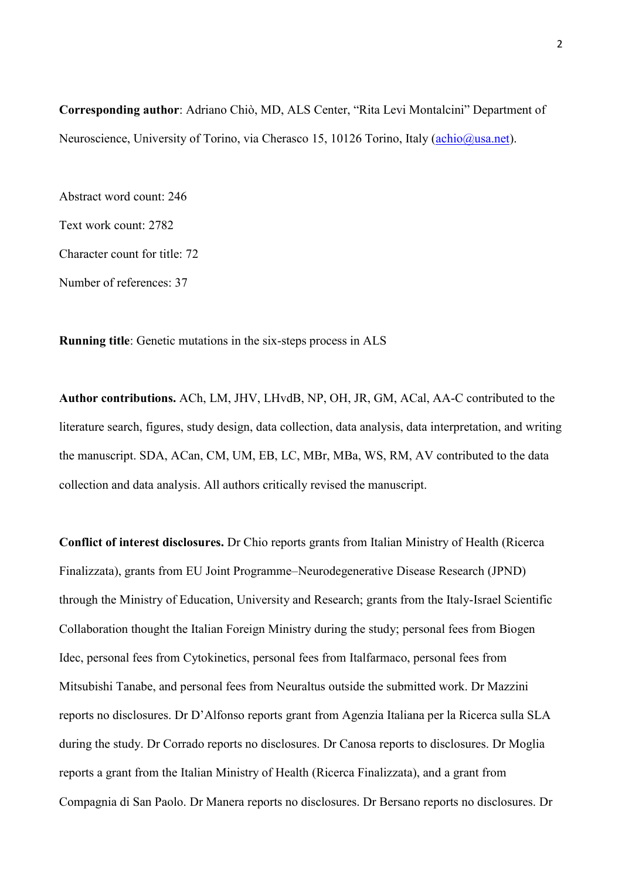**Corresponding author**: Adriano Chiò, MD, ALS Center, "Rita Levi Montalcini" Department of Neuroscience, University of Torino, via Cherasco 15, 10126 Torino, Italy [\(achio@usa.net\)](mailto:achio@usa.net).

Abstract word count: 246 Text work count: 2782 Character count for title: 72 Number of references: 37

**Running title**: Genetic mutations in the six-steps process in ALS

**Author contributions.** ACh, LM, JHV, LHvdB, NP, OH, JR, GM, ACal, AA-C contributed to the literature search, figures, study design, data collection, data analysis, data interpretation, and writing the manuscript. SDA, ACan, CM, UM, EB, LC, MBr, MBa, WS, RM, AV contributed to the data collection and data analysis. All authors critically revised the manuscript.

**Conflict of interest disclosures.** Dr Chio reports grants from Italian Ministry of Health (Ricerca Finalizzata), grants from EU Joint Programme–Neurodegenerative Disease Research (JPND) through the Ministry of Education, University and Research; grants from the Italy-Israel Scientific Collaboration thought the Italian Foreign Ministry during the study; personal fees from Biogen Idec, personal fees from Cytokinetics, personal fees from Italfarmaco, personal fees from Mitsubishi Tanabe, and personal fees from Neuraltus outside the submitted work. Dr Mazzini reports no disclosures. Dr D'Alfonso reports grant from Agenzia Italiana per la Ricerca sulla SLA during the study. Dr Corrado reports no disclosures. Dr Canosa reports to disclosures. Dr Moglia reports a grant from the Italian Ministry of Health (Ricerca Finalizzata), and a grant from Compagnia di San Paolo. Dr Manera reports no disclosures. Dr Bersano reports no disclosures. Dr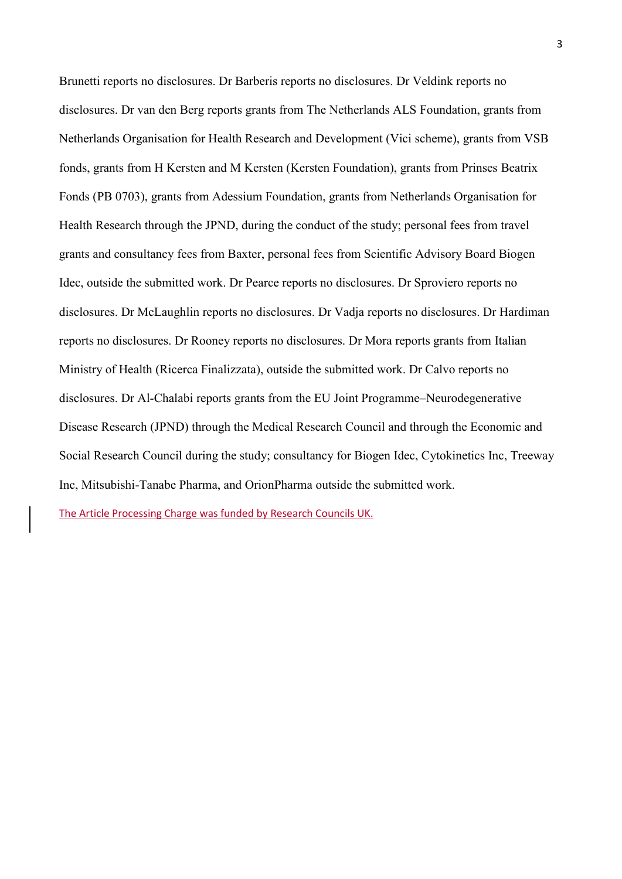Brunetti reports no disclosures. Dr Barberis reports no disclosures. Dr Veldink reports no disclosures. Dr van den Berg reports grants from The Netherlands ALS Foundation, grants from Netherlands Organisation for Health Research and Development (Vici scheme), grants from VSB fonds, grants from H Kersten and M Kersten (Kersten Foundation), grants from Prinses Beatrix Fonds (PB 0703), grants from Adessium Foundation, grants from Netherlands Organisation for Health Research through the JPND, during the conduct of the study; personal fees from travel grants and consultancy fees from Baxter, personal fees from Scientific Advisory Board Biogen Idec, outside the submitted work. Dr Pearce reports no disclosures. Dr Sproviero reports no disclosures. Dr McLaughlin reports no disclosures. Dr Vadja reports no disclosures. Dr Hardiman reports no disclosures. Dr Rooney reports no disclosures. Dr Mora reports grants from Italian Ministry of Health (Ricerca Finalizzata), outside the submitted work. Dr Calvo reports no disclosures. Dr Al-Chalabi reports grants from the EU Joint Programme–Neurodegenerative Disease Research (JPND) through the Medical Research Council and through the Economic and Social Research Council during the study; consultancy for Biogen Idec, Cytokinetics Inc, Treeway Inc, Mitsubishi-Tanabe Pharma, and OrionPharma outside the submitted work.

The Article Processing Charge was funded by Research Councils UK.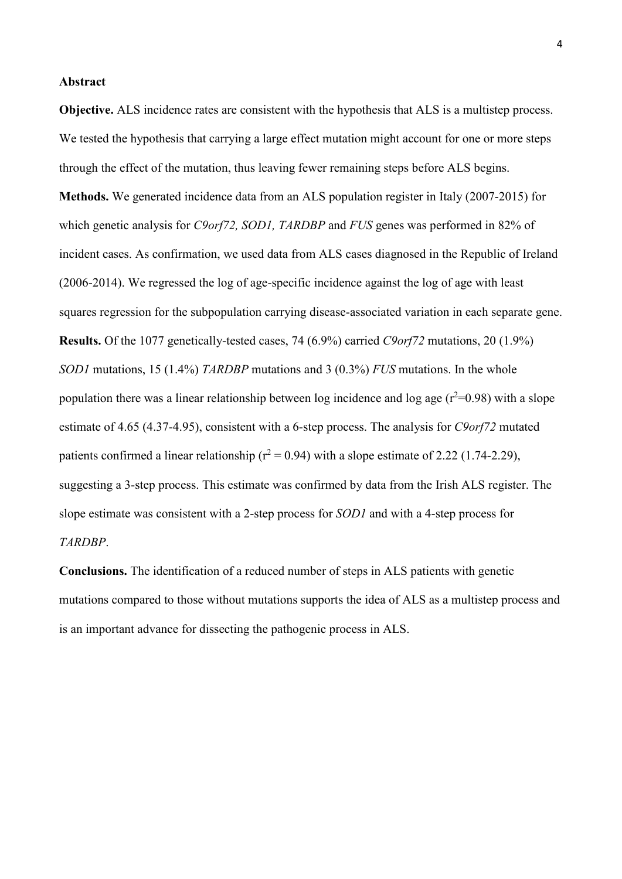#### **Abstract**

**Objective.** ALS incidence rates are consistent with the hypothesis that ALS is a multistep process. We tested the hypothesis that carrying a large effect mutation might account for one or more steps through the effect of the mutation, thus leaving fewer remaining steps before ALS begins. **Methods.** We generated incidence data from an ALS population register in Italy (2007-2015) for which genetic analysis for *C9orf72, SOD1, TARDBP* and *FUS* genes was performed in 82% of incident cases. As confirmation, we used data from ALS cases diagnosed in the Republic of Ireland (2006-2014). We regressed the log of age-specific incidence against the log of age with least squares regression for the subpopulation carrying disease-associated variation in each separate gene. **Results.** Of the 1077 genetically-tested cases, 74 (6.9%) carried *C9orf72* mutations, 20 (1.9%) *SOD1* mutations, 15 (1.4%) *TARDBP* mutations and 3 (0.3%) *FUS* mutations. In the whole population there was a linear relationship between log incidence and log age  $(r^2=0.98)$  with a slope estimate of 4.65 (4.37-4.95), consistent with a 6-step process. The analysis for *C9orf72* mutated patients confirmed a linear relationship ( $r^2$  = 0.94) with a slope estimate of 2.22 (1.74-2.29), suggesting a 3-step process. This estimate was confirmed by data from the Irish ALS register. The slope estimate was consistent with a 2-step process for *SOD1* and with a 4-step process for *TARDBP*.

**Conclusions.** The identification of a reduced number of steps in ALS patients with genetic mutations compared to those without mutations supports the idea of ALS as a multistep process and is an important advance for dissecting the pathogenic process in ALS.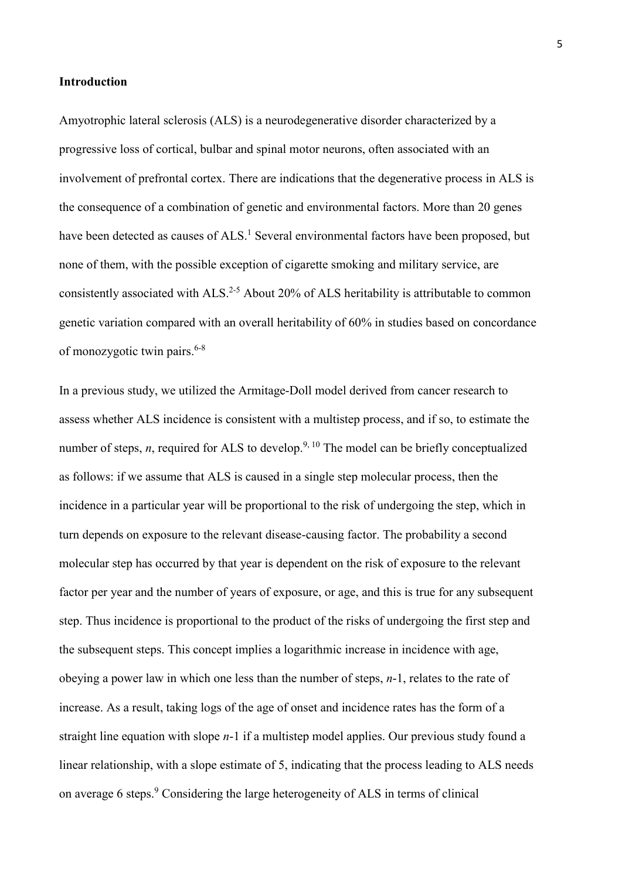# **Introduction**

Amyotrophic lateral sclerosis (ALS) is a neurodegenerative disorder characterized by a progressive loss of cortical, bulbar and spinal motor neurons, often associated with an involvement of prefrontal cortex. There are indications that the degenerative process in ALS is the consequence of a combination of genetic and environmental factors. More than 20 genes have been detected as causes of ALS.<sup>1</sup> Several environmental factors have been proposed, but none of them, with the possible exception of cigarette smoking and military service, are consistently associated with ALS.<sup>2-5</sup> About 20% of ALS heritability is attributable to common genetic variation compared with an overall heritability of 60% in studies based on concordance of monozygotic twin pairs. 6-8

In a previous study, we utilized the Armitage-Doll model derived from cancer research to assess whether ALS incidence is consistent with a multistep process, and if so, to estimate the number of steps, *n*, required for ALS to develop.<sup>9, 10</sup> The model can be briefly conceptualized as follows: if we assume that ALS is caused in a single step molecular process, then the incidence in a particular year will be proportional to the risk of undergoing the step, which in turn depends on exposure to the relevant disease-causing factor. The probability a second molecular step has occurred by that year is dependent on the risk of exposure to the relevant factor per year and the number of years of exposure, or age, and this is true for any subsequent step. Thus incidence is proportional to the product of the risks of undergoing the first step and the subsequent steps. This concept implies a logarithmic increase in incidence with age, obeying a power law in which one less than the number of steps, *n*-1, relates to the rate of increase. As a result, taking logs of the age of onset and incidence rates has the form of a straight line equation with slope *n*-1 if a multistep model applies. Our previous study found a linear relationship, with a slope estimate of 5, indicating that the process leading to ALS needs on average 6 steps.<sup>9</sup> Considering the large heterogeneity of ALS in terms of clinical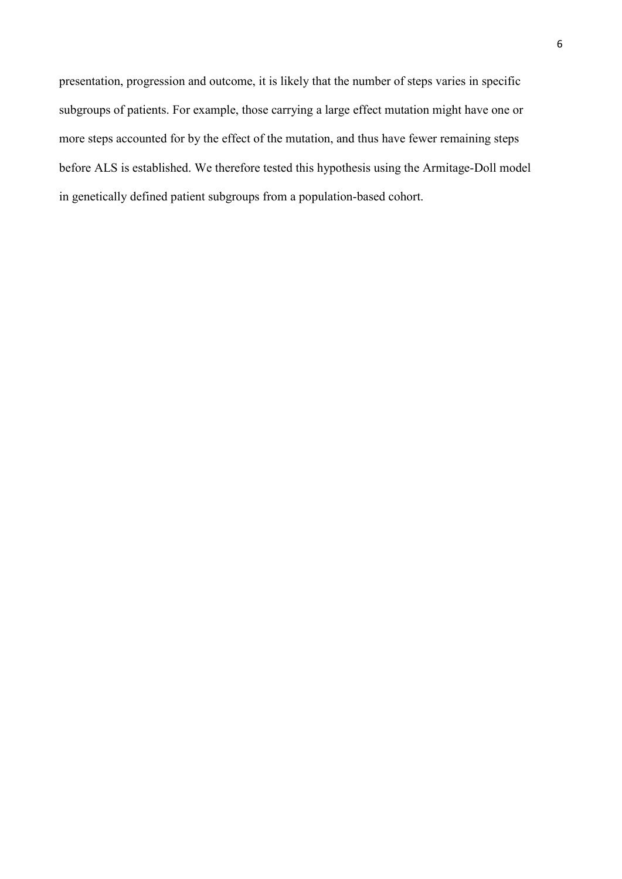presentation, progression and outcome, it is likely that the number of steps varies in specific subgroups of patients. For example, those carrying a large effect mutation might have one or more steps accounted for by the effect of the mutation, and thus have fewer remaining steps before ALS is established. We therefore tested this hypothesis using the Armitage-Doll model in genetically defined patient subgroups from a population-based cohort.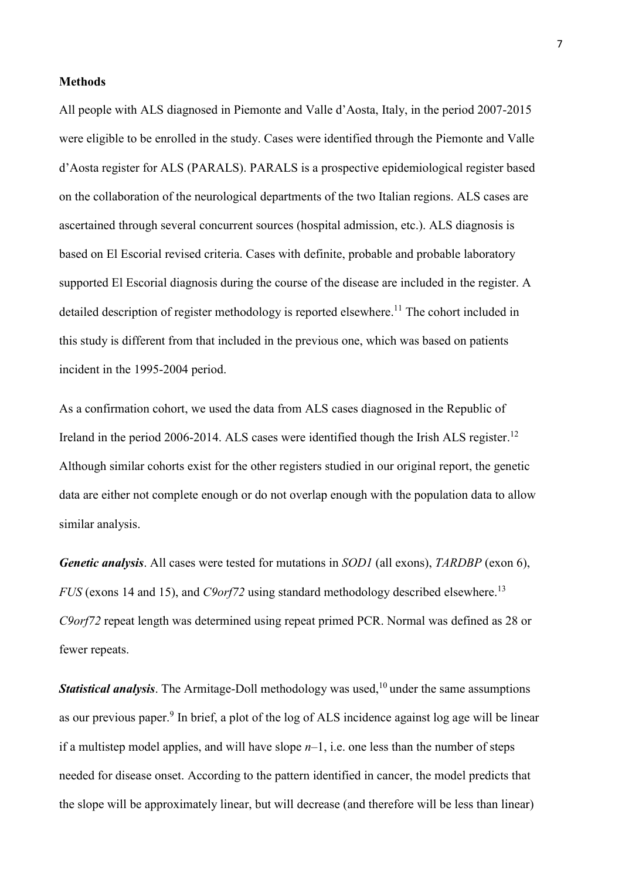#### **Methods**

All people with ALS diagnosed in Piemonte and Valle d'Aosta, Italy, in the period 2007-2015 were eligible to be enrolled in the study. Cases were identified through the Piemonte and Valle d'Aosta register for ALS (PARALS). PARALS is a prospective epidemiological register based on the collaboration of the neurological departments of the two Italian regions. ALS cases are ascertained through several concurrent sources (hospital admission, etc.). ALS diagnosis is based on El Escorial revised criteria. Cases with definite, probable and probable laboratory supported El Escorial diagnosis during the course of the disease are included in the register. A detailed description of register methodology is reported elsewhere.<sup>11</sup> The cohort included in this study is different from that included in the previous one, which was based on patients incident in the 1995-2004 period.

As a confirmation cohort, we used the data from ALS cases diagnosed in the Republic of Ireland in the period 2006-2014. ALS cases were identified though the Irish ALS register.<sup>12</sup> Although similar cohorts exist for the other registers studied in our original report, the genetic data are either not complete enough or do not overlap enough with the population data to allow similar analysis.

*Genetic analysis*. All cases were tested for mutations in *SOD1* (all exons), *TARDBP* (exon 6), *FUS* (exons 14 and 15), and *C9orf72* using standard methodology described elsewhere. 13 *C9orf72* repeat length was determined using repeat primed PCR. Normal was defined as 28 or fewer repeats.

**Statistical analysis**. The Armitage-Doll methodology was used,<sup>10</sup> under the same assumptions as our previous paper.<sup>9</sup> In brief, a plot of the log of ALS incidence against log age will be linear if a multistep model applies, and will have slope *n*–1, i.e. one less than the number of steps needed for disease onset. According to the pattern identified in cancer, the model predicts that the slope will be approximately linear, but will decrease (and therefore will be less than linear)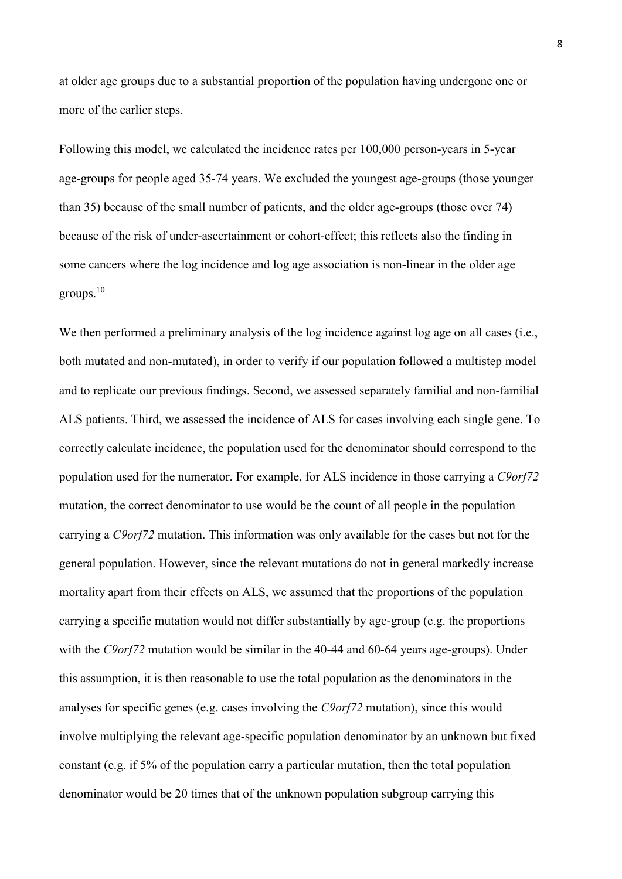at older age groups due to a substantial proportion of the population having undergone one or more of the earlier steps.

Following this model, we calculated the incidence rates per 100,000 person-years in 5-year age-groups for people aged 35-74 years. We excluded the youngest age-groups (those younger than 35) because of the small number of patients, and the older age-groups (those over 74) because of the risk of under-ascertainment or cohort-effect; this reflects also the finding in some cancers where the log incidence and log age association is non-linear in the older age groups. 10

We then performed a preliminary analysis of the log incidence against log age on all cases (i.e., both mutated and non-mutated), in order to verify if our population followed a multistep model and to replicate our previous findings. Second, we assessed separately familial and non-familial ALS patients. Third, we assessed the incidence of ALS for cases involving each single gene. To correctly calculate incidence, the population used for the denominator should correspond to the population used for the numerator. For example, for ALS incidence in those carrying a *C9orf72* mutation, the correct denominator to use would be the count of all people in the population carrying a *C9orf72* mutation. This information was only available for the cases but not for the general population. However, since the relevant mutations do not in general markedly increase mortality apart from their effects on ALS, we assumed that the proportions of the population carrying a specific mutation would not differ substantially by age-group (e.g. the proportions with the *C9orf*72 mutation would be similar in the 40-44 and 60-64 years age-groups). Under this assumption, it is then reasonable to use the total population as the denominators in the analyses for specific genes (e.g. cases involving the *C9orf72* mutation), since this would involve multiplying the relevant age-specific population denominator by an unknown but fixed constant (e.g. if 5% of the population carry a particular mutation, then the total population denominator would be 20 times that of the unknown population subgroup carrying this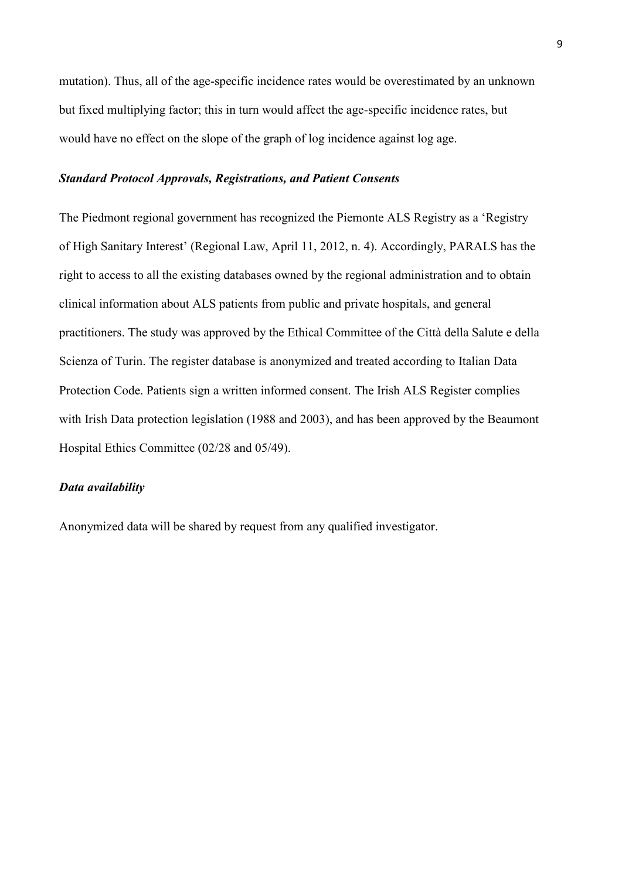mutation). Thus, all of the age-specific incidence rates would be overestimated by an unknown but fixed multiplying factor; this in turn would affect the age-specific incidence rates, but would have no effect on the slope of the graph of log incidence against log age.

# *Standard Protocol Approvals, Registrations, and Patient Consents*

The Piedmont regional government has recognized the Piemonte ALS Registry as a 'Registry of High Sanitary Interest' (Regional Law, April 11, 2012, n. 4). Accordingly, PARALS has the right to access to all the existing databases owned by the regional administration and to obtain clinical information about ALS patients from public and private hospitals, and general practitioners. The study was approved by the Ethical Committee of the Città della Salute e della Scienza of Turin. The register database is anonymized and treated according to Italian Data Protection Code. Patients sign a written informed consent. The Irish ALS Register complies with Irish Data protection legislation (1988 and 2003), and has been approved by the Beaumont Hospital Ethics Committee (02/28 and 05/49).

# *Data availability*

Anonymized data will be shared by request from any qualified investigator.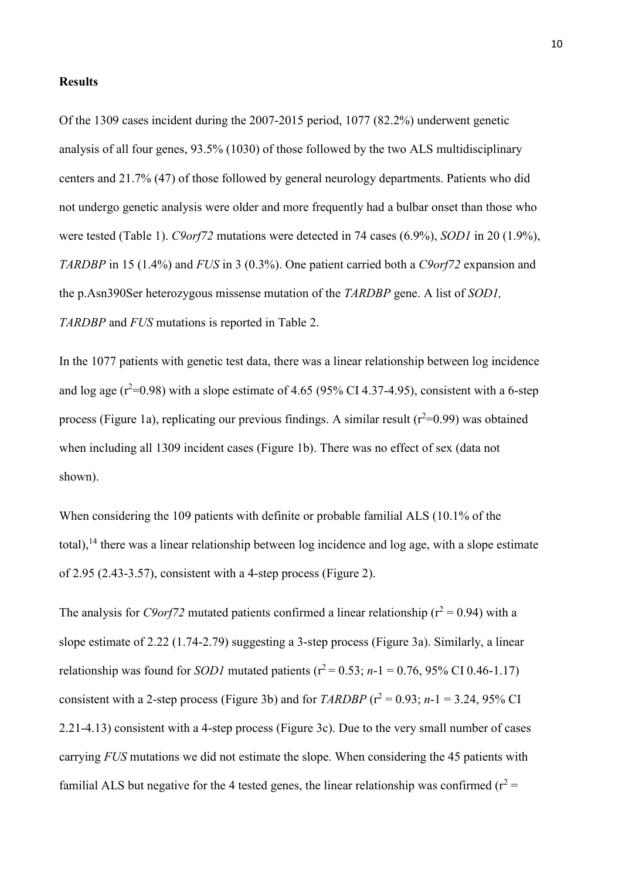#### **Results**

Of the 1309 cases incident during the 2007-2015 period, 1077 (82.2%) underwent genetic analysis of all four genes, 93.5% (1030) of those followed by the two ALS multidisciplinary centers and 21.7% (47) of those followed by general neurology departments. Patients who did not undergo genetic analysis were older and more frequently had a bulbar onset than those who were tested (Table 1). *C9orf72* mutations were detected in 74 cases (6.9%), *SOD1* in 20 (1.9%), *TARDBP* in 15 (1.4%) and *FUS* in 3 (0.3%). One patient carried both a *C9orf72* expansion and the p.Asn390Ser heterozygous missense mutation of the *TARDBP* gene. A list of *SOD1, TARDBP* and *FUS* mutations is reported in Table 2.

In the 1077 patients with genetic test data, there was a linear relationship between log incidence and log age  $(r^2=0.98)$  with a slope estimate of 4.65 (95% CI 4.37-4.95), consistent with a 6-step process (Figure 1a), replicating our previous findings. A similar result ( $r^2$ =0.99) was obtained when including all 1309 incident cases (Figure 1b). There was no effect of sex (data not shown).

When considering the 109 patients with definite or probable familial ALS (10.1% of the total),  $^{14}$  there was a linear relationship between log incidence and log age, with a slope estimate of 2.95 (2.43-3.57), consistent with a 4-step process (Figure 2).

The analysis for *C9orf72* mutated patients confirmed a linear relationship ( $r^2 = 0.94$ ) with a slope estimate of 2.22 (1.74-2.79) suggesting a 3-step process (Figure 3a). Similarly, a linear relationship was found for *SOD1* mutated patients ( $r^2 = 0.53$ ; *n*-1 = 0.76, 95% CI 0.46-1.17) consistent with a 2-step process (Figure 3b) and for *TARDBP* ( $r^2 = 0.93$ ; *n*-1 = 3.24, 95% CI 2.21-4.13) consistent with a 4-step process (Figure 3c). Due to the very small number of cases carrying *FUS* mutations we did not estimate the slope. When considering the 45 patients with familial ALS but negative for the 4 tested genes, the linear relationship was confirmed ( $r^2$  =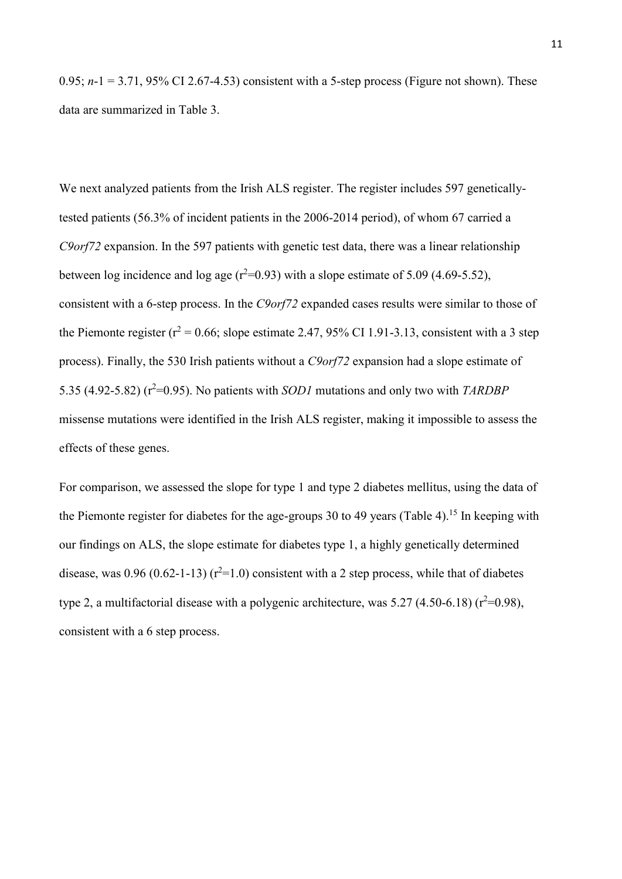0.95;  $n-1 = 3.71$ , 95% CI 2.67-4.53) consistent with a 5-step process (Figure not shown). These data are summarized in Table 3.

We next analyzed patients from the Irish ALS register. The register includes 597 geneticallytested patients (56.3% of incident patients in the 2006-2014 period), of whom 67 carried a *C9orf72* expansion. In the 597 patients with genetic test data, there was a linear relationship between log incidence and log age  $(r^2=0.93)$  with a slope estimate of 5.09 (4.69-5.52), consistent with a 6-step process. In the *C9orf72* expanded cases results were similar to those of the Piemonte register ( $r^2$  = 0.66; slope estimate 2.47, 95% CI 1.91-3.13, consistent with a 3 step process). Finally, the 530 Irish patients without a *C9orf72* expansion had a slope estimate of 5.35 (4.92-5.82) (r <sup>2</sup>=0.95). No patients with *SOD1* mutations and only two with *TARDBP* missense mutations were identified in the Irish ALS register, making it impossible to assess the effects of these genes.

For comparison, we assessed the slope for type 1 and type 2 diabetes mellitus, using the data of the Piemonte register for diabetes for the age-groups 30 to 49 years (Table 4).<sup>15</sup> In keeping with our findings on ALS, the slope estimate for diabetes type 1, a highly genetically determined disease, was 0.96 (0.62-1-13)  $(r^2=1.0)$  consistent with a 2 step process, while that of diabetes type 2, a multifactorial disease with a polygenic architecture, was  $5.27$  (4.50-6.18) ( $r^2$ =0.98), consistent with a 6 step process.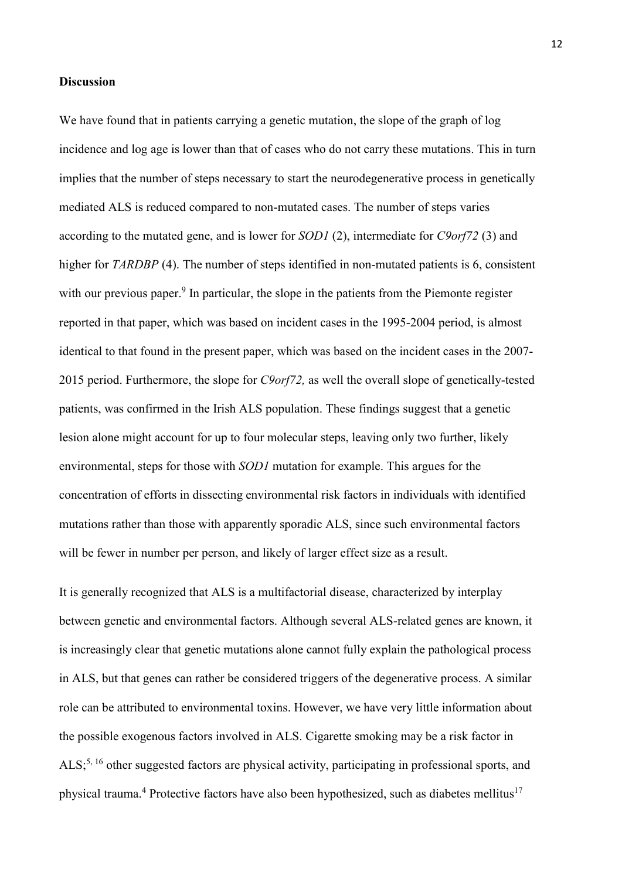## **Discussion**

We have found that in patients carrying a genetic mutation, the slope of the graph of log incidence and log age is lower than that of cases who do not carry these mutations. This in turn implies that the number of steps necessary to start the neurodegenerative process in genetically mediated ALS is reduced compared to non-mutated cases. The number of steps varies according to the mutated gene, and is lower for *SOD1* (2), intermediate for *C9orf72* (3) and higher for *TARDBP* (4). The number of steps identified in non-mutated patients is 6, consistent with our previous paper.<sup>9</sup> In particular, the slope in the patients from the Piemonte register reported in that paper, which was based on incident cases in the 1995-2004 period, is almost identical to that found in the present paper, which was based on the incident cases in the 2007- 2015 period. Furthermore, the slope for *C9orf72,* as well the overall slope of genetically-tested patients, was confirmed in the Irish ALS population. These findings suggest that a genetic lesion alone might account for up to four molecular steps, leaving only two further, likely environmental, steps for those with *SOD1* mutation for example. This argues for the concentration of efforts in dissecting environmental risk factors in individuals with identified mutations rather than those with apparently sporadic ALS, since such environmental factors will be fewer in number per person, and likely of larger effect size as a result.

It is generally recognized that ALS is a multifactorial disease, characterized by interplay between genetic and environmental factors. Although several ALS-related genes are known, it is increasingly clear that genetic mutations alone cannot fully explain the pathological process in ALS, but that genes can rather be considered triggers of the degenerative process. A similar role can be attributed to environmental toxins. However, we have very little information about the possible exogenous factors involved in ALS. Cigarette smoking may be a risk factor in ALS;<sup>5, 16</sup> other suggested factors are physical activity, participating in professional sports, and physical trauma.<sup>4</sup> Protective factors have also been hypothesized, such as diabetes mellitus<sup>17</sup>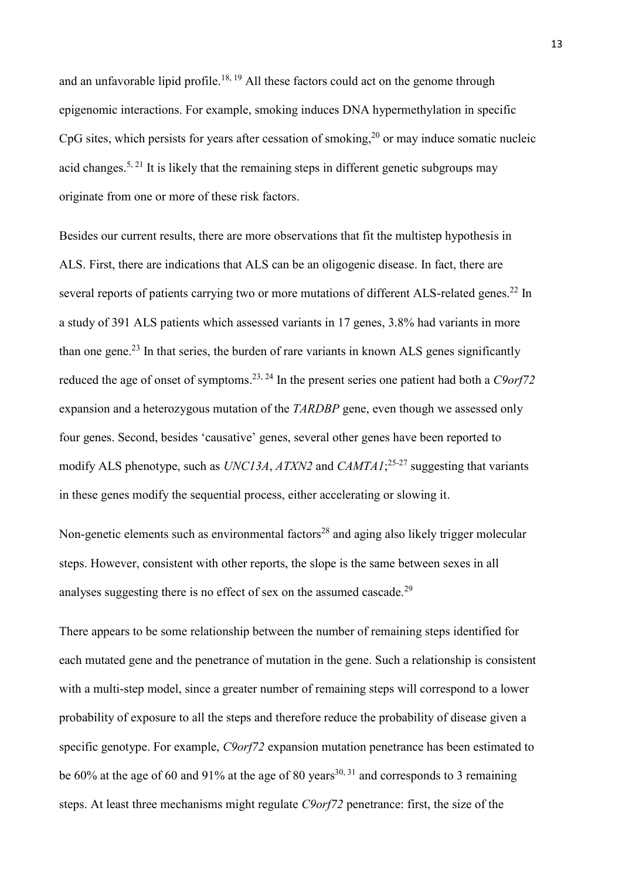and an unfavorable lipid profile.<sup>18, 19</sup> All these factors could act on the genome through epigenomic interactions. For example, smoking induces DNA hypermethylation in specific CpG sites, which persists for years after cessation of smoking, <sup>20</sup> or may induce somatic nucleic acid changes.<sup>5, 21</sup> It is likely that the remaining steps in different genetic subgroups may originate from one or more of these risk factors.

Besides our current results, there are more observations that fit the multistep hypothesis in ALS. First, there are indications that ALS can be an oligogenic disease. In fact, there are several reports of patients carrying two or more mutations of different ALS-related genes.<sup>22</sup> In a study of 391 ALS patients which assessed variants in 17 genes, 3.8% had variants in more than one gene.<sup>23</sup> In that series, the burden of rare variants in known ALS genes significantly reduced the age of onset of symptoms. 23, 24 In the present series one patient had both a *C9orf72* expansion and a heterozygous mutation of the *TARDBP* gene, even though we assessed only four genes. Second, besides 'causative' genes, several other genes have been reported to modify ALS phenotype, such as *UNC13A*, *ATXN2* and *CAMTA1*; 25-27 suggesting that variants in these genes modify the sequential process, either accelerating or slowing it.

Non-genetic elements such as environmental factors<sup>28</sup> and aging also likely trigger molecular steps. However, consistent with other reports, the slope is the same between sexes in all analyses suggesting there is no effect of sex on the assumed cascade.<sup>29</sup>

There appears to be some relationship between the number of remaining steps identified for each mutated gene and the penetrance of mutation in the gene. Such a relationship is consistent with a multi-step model, since a greater number of remaining steps will correspond to a lower probability of exposure to all the steps and therefore reduce the probability of disease given a specific genotype. For example, *C9orf72* expansion mutation penetrance has been estimated to be 60% at the age of 60 and 91% at the age of 80 years<sup>30, 31</sup> and corresponds to 3 remaining steps. At least three mechanisms might regulate *C9orf72* penetrance: first, the size of the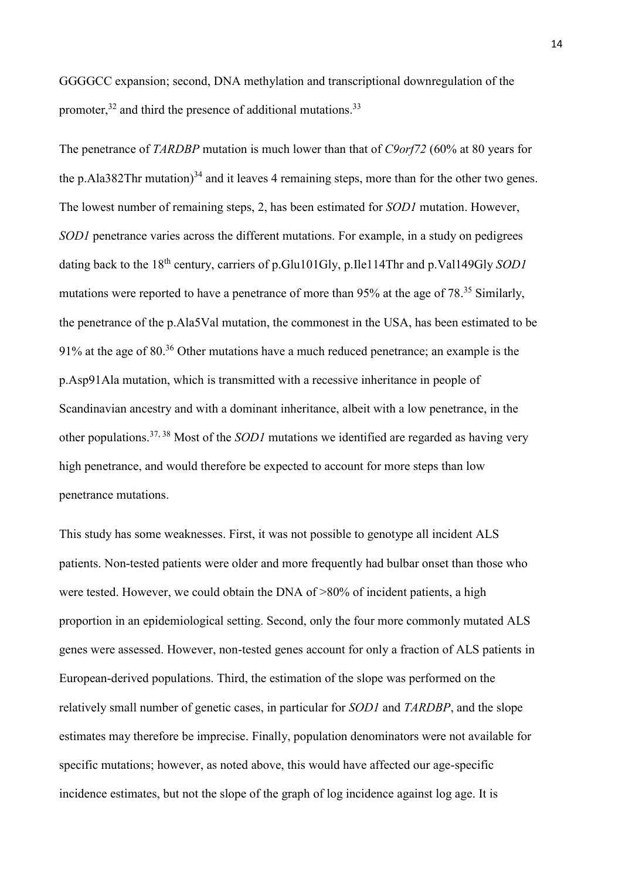GGGGCC expansion; second, DNA methylation and transcriptional downregulation of the promoter,<sup>32</sup> and third the presence of additional mutations.<sup>33</sup>

The penetrance of *TARDBP* mutation is much lower than that of *C9orf72* (60% at 80 years for the p.Ala382Thr mutation) $34$  and it leaves 4 remaining steps, more than for the other two genes. The lowest number of remaining steps, 2, has been estimated for *SOD1* mutation. However, *SOD1* penetrance varies across the different mutations. For example, in a study on pedigrees dating back to the 18<sup>th</sup> century, carriers of p.Glu101Gly, p.Ile114Thr and p.Val149Gly *SOD1* mutations were reported to have a penetrance of more than 95% at the age of 78.<sup>35</sup> Similarly, the penetrance of the p.Ala5Val mutation, the commonest in the USA, has been estimated to be 91% at the age of 80.<sup>36</sup> Other mutations have a much reduced penetrance; an example is the p.Asp91Ala mutation, which is transmitted with a recessive inheritance in people of Scandinavian ancestry and with a dominant inheritance, albeit with a low penetrance, in the other populations. 37, 38 Most of the *SOD1* mutations we identified are regarded as having very high penetrance, and would therefore be expected to account for more steps than low penetrance mutations.

This study has some weaknesses. First, it was not possible to genotype all incident ALS patients. Non-tested patients were older and more frequently had bulbar onset than those who were tested. However, we could obtain the DNA of >80% of incident patients, a high proportion in an epidemiological setting. Second, only the four more commonly mutated ALS genes were assessed. However, non-tested genes account for only a fraction of ALS patients in European-derived populations. Third, the estimation of the slope was performed on the relatively small number of genetic cases, in particular for *SOD1* and *TARDBP*, and the slope estimates may therefore be imprecise. Finally, population denominators were not available for specific mutations; however, as noted above, this would have affected our age-specific incidence estimates, but not the slope of the graph of log incidence against log age. It is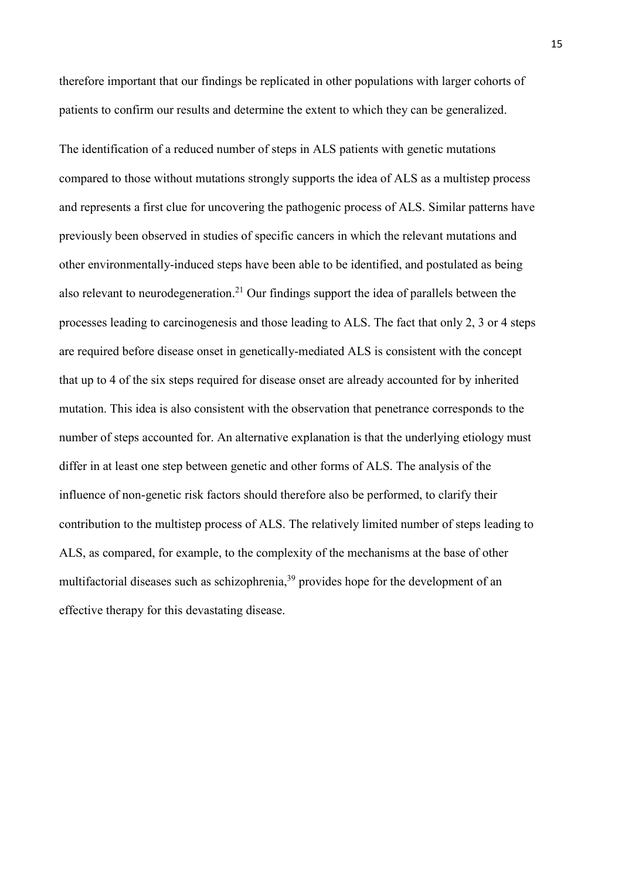therefore important that our findings be replicated in other populations with larger cohorts of patients to confirm our results and determine the extent to which they can be generalized.

The identification of a reduced number of steps in ALS patients with genetic mutations compared to those without mutations strongly supports the idea of ALS as a multistep process and represents a first clue for uncovering the pathogenic process of ALS. Similar patterns have previously been observed in studies of specific cancers in which the relevant mutations and other environmentally-induced steps have been able to be identified, and postulated as being also relevant to neurodegeneration.<sup>21</sup> Our findings support the idea of parallels between the processes leading to carcinogenesis and those leading to ALS. The fact that only 2, 3 or 4 steps are required before disease onset in genetically-mediated ALS is consistent with the concept that up to 4 of the six steps required for disease onset are already accounted for by inherited mutation. This idea is also consistent with the observation that penetrance corresponds to the number of steps accounted for. An alternative explanation is that the underlying etiology must differ in at least one step between genetic and other forms of ALS. The analysis of the influence of non-genetic risk factors should therefore also be performed, to clarify their contribution to the multistep process of ALS. The relatively limited number of steps leading to ALS, as compared, for example, to the complexity of the mechanisms at the base of other multifactorial diseases such as schizophrenia,<sup>39</sup> provides hope for the development of an effective therapy for this devastating disease.

15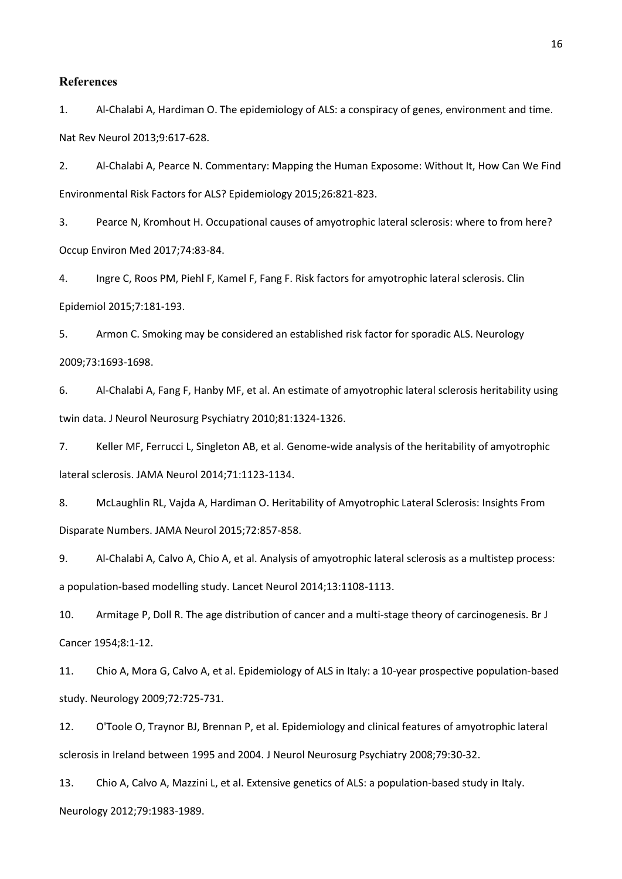#### **References**

1. Al-Chalabi A, Hardiman O. The epidemiology of ALS: a conspiracy of genes, environment and time. Nat Rev Neurol 2013;9:617-628.

2. Al-Chalabi A, Pearce N. Commentary: Mapping the Human Exposome: Without It, How Can We Find Environmental Risk Factors for ALS? Epidemiology 2015;26:821-823.

3. Pearce N, Kromhout H. Occupational causes of amyotrophic lateral sclerosis: where to from here? Occup Environ Med 2017;74:83-84.

4. Ingre C, Roos PM, Piehl F, Kamel F, Fang F. Risk factors for amyotrophic lateral sclerosis. Clin Epidemiol 2015;7:181-193.

5. Armon C. Smoking may be considered an established risk factor for sporadic ALS. Neurology 2009;73:1693-1698.

6. Al-Chalabi A, Fang F, Hanby MF, et al. An estimate of amyotrophic lateral sclerosis heritability using twin data. J Neurol Neurosurg Psychiatry 2010;81:1324-1326.

7. Keller MF, Ferrucci L, Singleton AB, et al. Genome-wide analysis of the heritability of amyotrophic lateral sclerosis. JAMA Neurol 2014;71:1123-1134.

8. McLaughlin RL, Vajda A, Hardiman O. Heritability of Amyotrophic Lateral Sclerosis: Insights From Disparate Numbers. JAMA Neurol 2015;72:857-858.

9. Al-Chalabi A, Calvo A, Chio A, et al. Analysis of amyotrophic lateral sclerosis as a multistep process: a population-based modelling study. Lancet Neurol 2014;13:1108-1113.

10. Armitage P, Doll R. The age distribution of cancer and a multi-stage theory of carcinogenesis. Br J Cancer 1954;8:1-12.

11. Chio A, Mora G, Calvo A, et al. Epidemiology of ALS in Italy: a 10-year prospective population-based study. Neurology 2009;72:725-731.

12. O'Toole O, Traynor BJ, Brennan P, et al. Epidemiology and clinical features of amyotrophic lateral sclerosis in Ireland between 1995 and 2004. J Neurol Neurosurg Psychiatry 2008;79:30-32.

13. Chio A, Calvo A, Mazzini L, et al. Extensive genetics of ALS: a population-based study in Italy. Neurology 2012;79:1983-1989.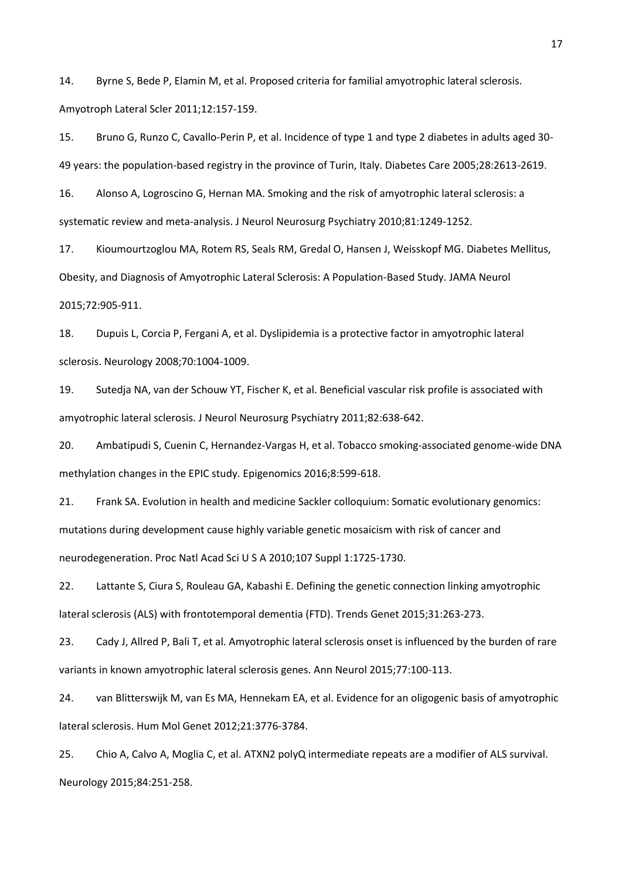14. Byrne S, Bede P, Elamin M, et al. Proposed criteria for familial amyotrophic lateral sclerosis. Amyotroph Lateral Scler 2011;12:157-159.

15. Bruno G, Runzo C, Cavallo-Perin P, et al. Incidence of type 1 and type 2 diabetes in adults aged 30- 49 years: the population-based registry in the province of Turin, Italy. Diabetes Care 2005;28:2613-2619.

16. Alonso A, Logroscino G, Hernan MA. Smoking and the risk of amyotrophic lateral sclerosis: a systematic review and meta-analysis. J Neurol Neurosurg Psychiatry 2010;81:1249-1252.

17. Kioumourtzoglou MA, Rotem RS, Seals RM, Gredal O, Hansen J, Weisskopf MG. Diabetes Mellitus, Obesity, and Diagnosis of Amyotrophic Lateral Sclerosis: A Population-Based Study. JAMA Neurol 2015;72:905-911.

18. Dupuis L, Corcia P, Fergani A, et al. Dyslipidemia is a protective factor in amyotrophic lateral sclerosis. Neurology 2008;70:1004-1009.

19. Sutedja NA, van der Schouw YT, Fischer K, et al. Beneficial vascular risk profile is associated with amyotrophic lateral sclerosis. J Neurol Neurosurg Psychiatry 2011;82:638-642.

20. Ambatipudi S, Cuenin C, Hernandez-Vargas H, et al. Tobacco smoking-associated genome-wide DNA methylation changes in the EPIC study. Epigenomics 2016;8:599-618.

21. Frank SA. Evolution in health and medicine Sackler colloquium: Somatic evolutionary genomics: mutations during development cause highly variable genetic mosaicism with risk of cancer and neurodegeneration. Proc Natl Acad Sci U S A 2010;107 Suppl 1:1725-1730.

22. Lattante S, Ciura S, Rouleau GA, Kabashi E. Defining the genetic connection linking amyotrophic lateral sclerosis (ALS) with frontotemporal dementia (FTD). Trends Genet 2015;31:263-273.

23. Cady J, Allred P, Bali T, et al. Amyotrophic lateral sclerosis onset is influenced by the burden of rare variants in known amyotrophic lateral sclerosis genes. Ann Neurol 2015;77:100-113.

24. van Blitterswijk M, van Es MA, Hennekam EA, et al. Evidence for an oligogenic basis of amyotrophic lateral sclerosis. Hum Mol Genet 2012;21:3776-3784.

25. Chio A, Calvo A, Moglia C, et al. ATXN2 polyQ intermediate repeats are a modifier of ALS survival. Neurology 2015;84:251-258.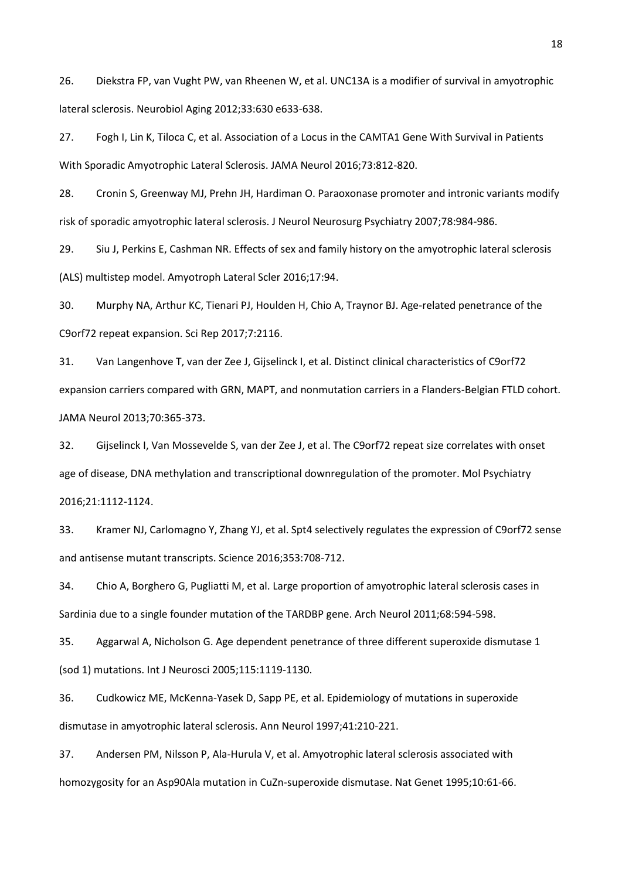26. Diekstra FP, van Vught PW, van Rheenen W, et al. UNC13A is a modifier of survival in amyotrophic lateral sclerosis. Neurobiol Aging 2012;33:630 e633-638.

27. Fogh I, Lin K, Tiloca C, et al. Association of a Locus in the CAMTA1 Gene With Survival in Patients With Sporadic Amyotrophic Lateral Sclerosis. JAMA Neurol 2016;73:812-820.

28. Cronin S, Greenway MJ, Prehn JH, Hardiman O. Paraoxonase promoter and intronic variants modify risk of sporadic amyotrophic lateral sclerosis. J Neurol Neurosurg Psychiatry 2007;78:984-986.

29. Siu J, Perkins E, Cashman NR. Effects of sex and family history on the amyotrophic lateral sclerosis (ALS) multistep model. Amyotroph Lateral Scler 2016;17:94.

30. Murphy NA, Arthur KC, Tienari PJ, Houlden H, Chio A, Traynor BJ. Age-related penetrance of the C9orf72 repeat expansion. Sci Rep 2017;7:2116.

31. Van Langenhove T, van der Zee J, Gijselinck I, et al. Distinct clinical characteristics of C9orf72 expansion carriers compared with GRN, MAPT, and nonmutation carriers in a Flanders-Belgian FTLD cohort. JAMA Neurol 2013;70:365-373.

32. Gijselinck I, Van Mossevelde S, van der Zee J, et al. The C9orf72 repeat size correlates with onset age of disease, DNA methylation and transcriptional downregulation of the promoter. Mol Psychiatry 2016;21:1112-1124.

33. Kramer NJ, Carlomagno Y, Zhang YJ, et al. Spt4 selectively regulates the expression of C9orf72 sense and antisense mutant transcripts. Science 2016;353:708-712.

34. Chio A, Borghero G, Pugliatti M, et al. Large proportion of amyotrophic lateral sclerosis cases in Sardinia due to a single founder mutation of the TARDBP gene. Arch Neurol 2011;68:594-598.

35. Aggarwal A, Nicholson G. Age dependent penetrance of three different superoxide dismutase 1 (sod 1) mutations. Int J Neurosci 2005;115:1119-1130.

36. Cudkowicz ME, McKenna-Yasek D, Sapp PE, et al. Epidemiology of mutations in superoxide dismutase in amyotrophic lateral sclerosis. Ann Neurol 1997;41:210-221.

37. Andersen PM, Nilsson P, Ala-Hurula V, et al. Amyotrophic lateral sclerosis associated with homozygosity for an Asp90Ala mutation in CuZn-superoxide dismutase. Nat Genet 1995;10:61-66.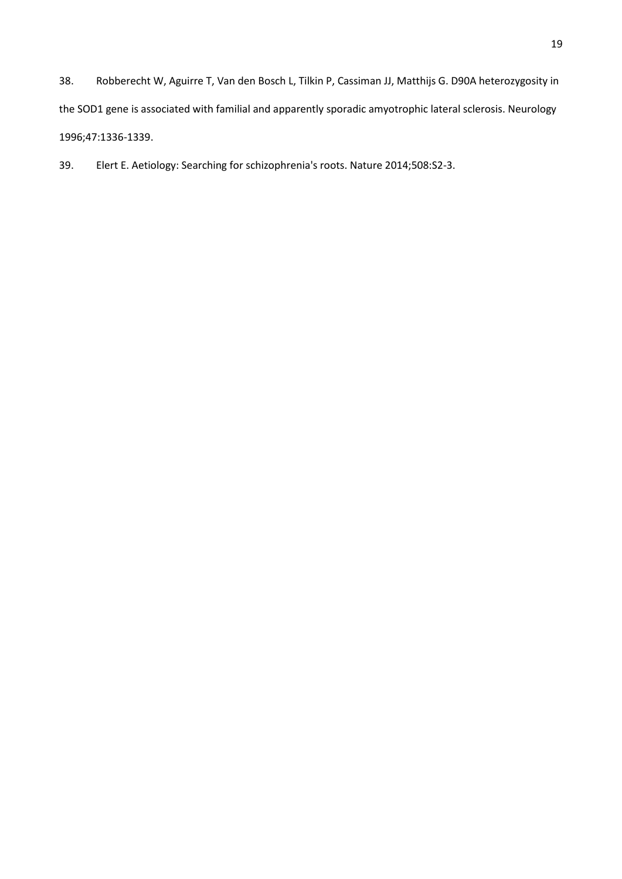38. Robberecht W, Aguirre T, Van den Bosch L, Tilkin P, Cassiman JJ, Matthijs G. D90A heterozygosity in the SOD1 gene is associated with familial and apparently sporadic amyotrophic lateral sclerosis. Neurology 1996;47:1336-1339.

39. Elert E. Aetiology: Searching for schizophrenia's roots. Nature 2014;508:S2-3.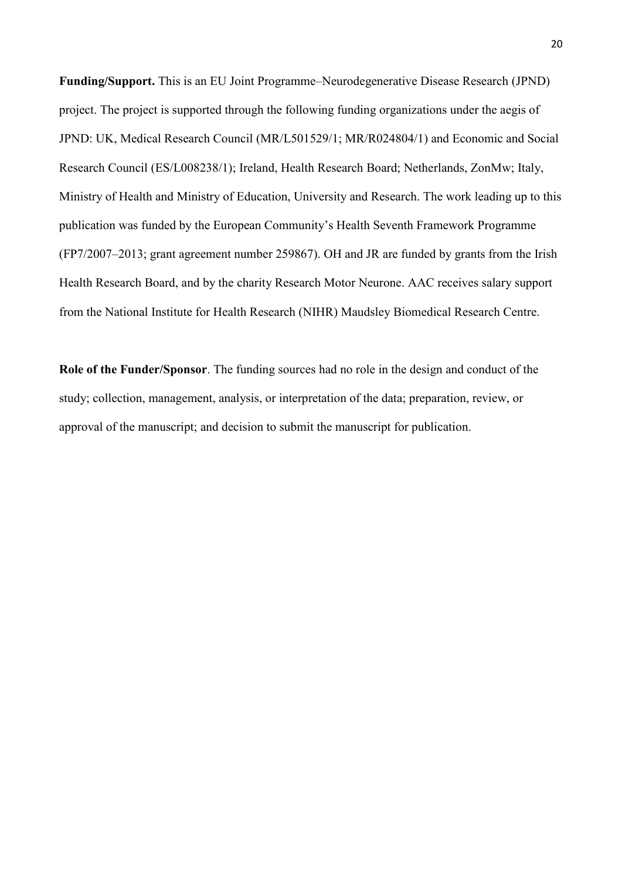**Funding/Support.** This is an EU Joint Programme–Neurodegenerative Disease Research (JPND) project. The project is supported through the following funding organizations under the aegis of JPND: UK, Medical Research Council (MR/L501529/1; MR/R024804/1) and Economic and Social Research Council (ES/L008238/1); Ireland, Health Research Board; Netherlands, ZonMw; Italy, Ministry of Health and Ministry of Education, University and Research. The work leading up to this publication was funded by the European Community's Health Seventh Framework Programme (FP7/2007–2013; grant agreement number 259867). OH and JR are funded by grants from the Irish Health Research Board, and by the charity Research Motor Neurone. AAC receives salary support from the National Institute for Health Research (NIHR) Maudsley Biomedical Research Centre.

**Role of the Funder/Sponsor**. The funding sources had no role in the design and conduct of the study; collection, management, analysis, or interpretation of the data; preparation, review, or approval of the manuscript; and decision to submit the manuscript for publication.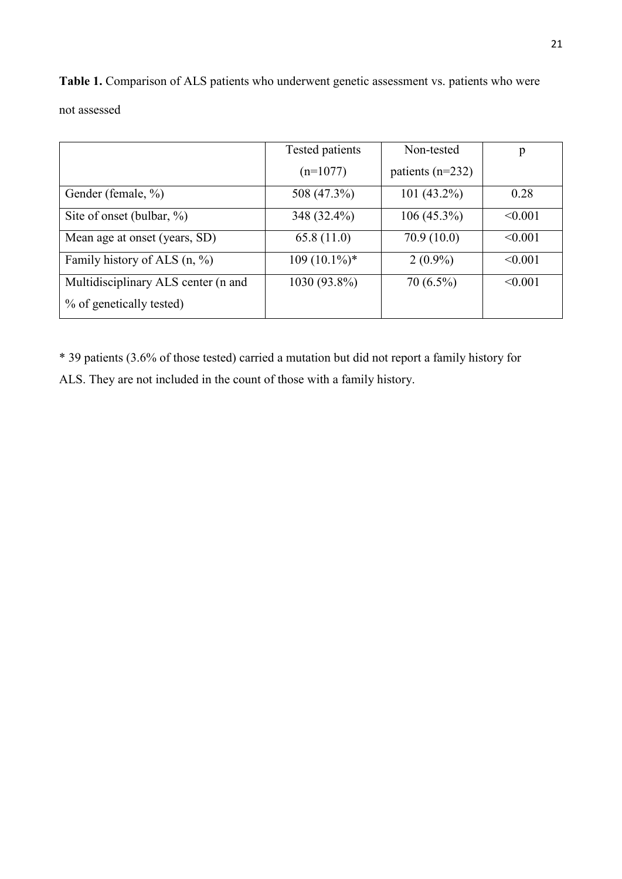Table 1. Comparison of ALS patients who underwent genetic assessment vs. patients who were not assessed

|                                     | Tested patients | Non-tested         | p       |
|-------------------------------------|-----------------|--------------------|---------|
|                                     | $(n=1077)$      | patients $(n=232)$ |         |
| Gender (female, %)                  | 508 (47.3%)     | 101 $(43.2\%)$     | 0.28    |
| Site of onset (bulbar, $\%$ )       | 348 (32.4%)     | $106(45.3\%)$      | < 0.001 |
| Mean age at onset (years, SD)       | 65.8(11.0)      | 70.9(10.0)         | < 0.001 |
| Family history of ALS $(n, %)$      | $109(10.1\%)*$  | $2(0.9\%)$         | < 0.001 |
| Multidisciplinary ALS center (n and | 1030 (93.8%)    | $70(6.5\%)$        | < 0.001 |
| % of genetically tested)            |                 |                    |         |

\* 39 patients (3.6% of those tested) carried a mutation but did not report a family history for ALS. They are not included in the count of those with a family history.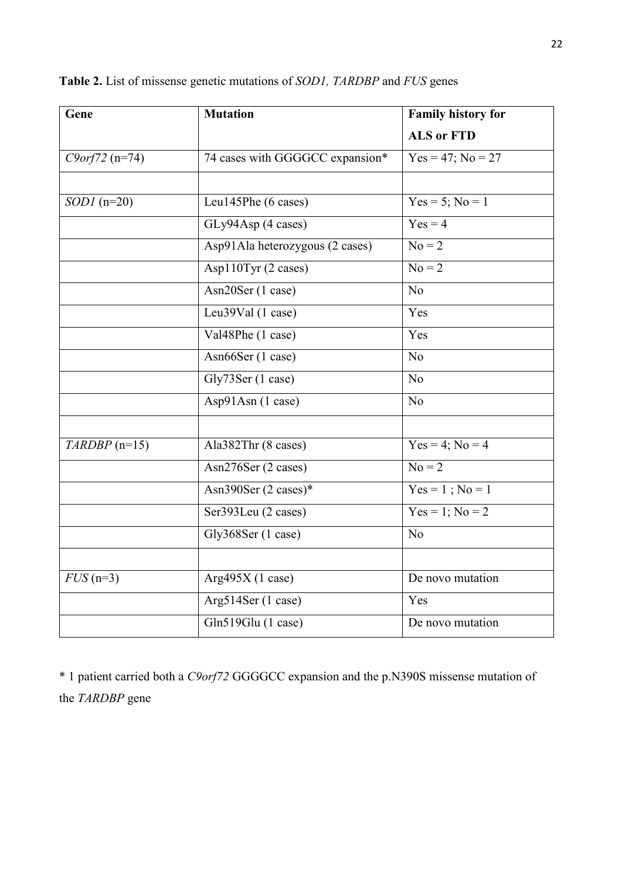| Gene             | <b>Mutation</b>                 | Family history for     |  |
|------------------|---------------------------------|------------------------|--|
|                  |                                 | <b>ALS or FTD</b>      |  |
| $C9orf72 (n=74)$ | 74 cases with GGGGCC expansion* | $Yes = 47$ ; $No = 27$ |  |
|                  |                                 |                        |  |
| $SODI$ (n=20)    | Leu145Phe (6 cases)             | $Yes = 5$ ; $No = 1$   |  |
|                  | GLy94Asp (4 cases)              | $Yes = 4$              |  |
|                  | Asp91Ala heterozygous (2 cases) | $No = 2$               |  |
|                  | Asp110Tyr (2 cases)             | $\overline{No} = 2$    |  |
|                  | Asn20Ser (1 case)               | N <sub>o</sub>         |  |
|                  | Leu39Val (1 case)               | Yes                    |  |
|                  | Val48Phe (1 case)               | Yes                    |  |
|                  | Asn66Ser (1 case)               | N <sub>o</sub>         |  |
|                  | Gly73Ser (1 case)               | N <sub>o</sub>         |  |
|                  | Asp91Asn (1 case)               | N <sub>o</sub>         |  |
|                  |                                 |                        |  |
| $TARDBP$ (n=15)  | Ala382Thr (8 cases)             | $Yes = 4$ ; $No = 4$   |  |
|                  | Asn276Ser (2 cases)             | $No = 2$               |  |
|                  | Asn390Ser (2 cases)*            | $Yes = 1$ ; $No = 1$   |  |
|                  | Ser393Leu (2 cases)             | $Yes = 1$ ; $No = 2$   |  |
|                  | Gly368Ser (1 case)              | N <sub>o</sub>         |  |
|                  |                                 |                        |  |
| $FUS$ (n=3)      | Arg $495X(1 case)$              | De novo mutation       |  |
|                  | Arg514Ser (1 case)              | Yes                    |  |
|                  | Gln519Glu (1 case)              | De novo mutation       |  |

# **Table 2.** List of missense genetic mutations of *SOD1, TARDBP* and *FUS* genes

\* 1 patient carried both a *C9orf72* GGGGCC expansion and the p.N390S missense mutation of the *TARDBP* gene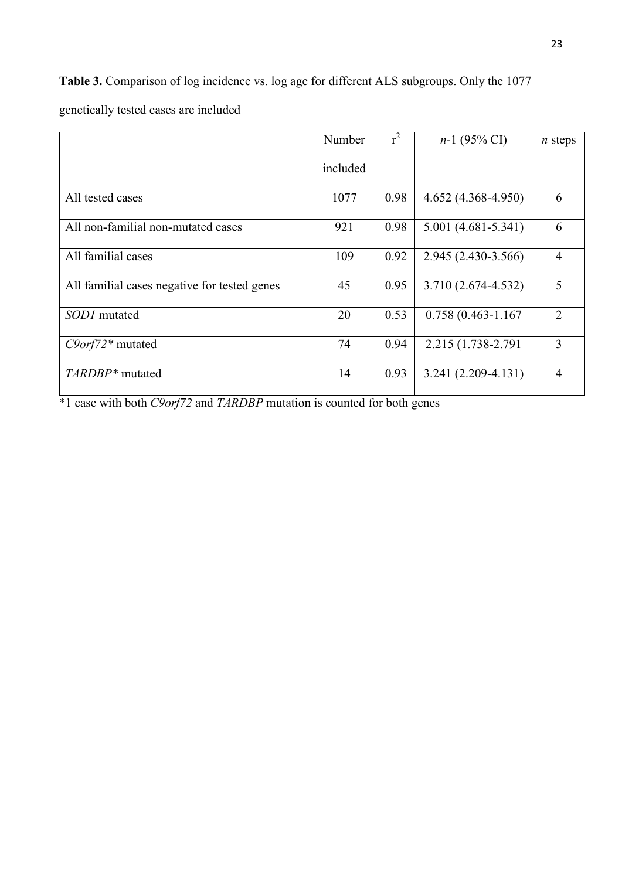**Table 3.** Comparison of log incidence vs. log age for different ALS subgroups. Only the 1077 genetically tested cases are included

|                                              | Number   | $r^2$ | $n-1$ (95% CI)         | $n$ steps      |
|----------------------------------------------|----------|-------|------------------------|----------------|
|                                              | included |       |                        |                |
| All tested cases                             | 1077     | 0.98  | $4.652(4.368 - 4.950)$ | 6              |
| All non-familial non-mutated cases           | 921      | 0.98  | $5.001(4.681 - 5.341)$ | 6              |
| All familial cases                           | 109      | 0.92  | 2.945 (2.430-3.566)    | $\overline{4}$ |
| All familial cases negative for tested genes | 45       | 0.95  | 3.710 (2.674-4.532)    | 5              |
| <i>SOD1</i> mutated                          | 20       | 0.53  | $0.758(0.463 - 1.167)$ | 2              |
| $C9$ <i>orf</i> $72*$ mutated                | 74       | 0.94  | 2.215 (1.738-2.791)    | 3              |
| TARDBP <sup>*</sup> mutated                  | 14       | 0.93  | $3.241(2.209-4.131)$   | $\overline{4}$ |

\*1 case with both *C9orf72* and *TARDBP* mutation is counted for both genes